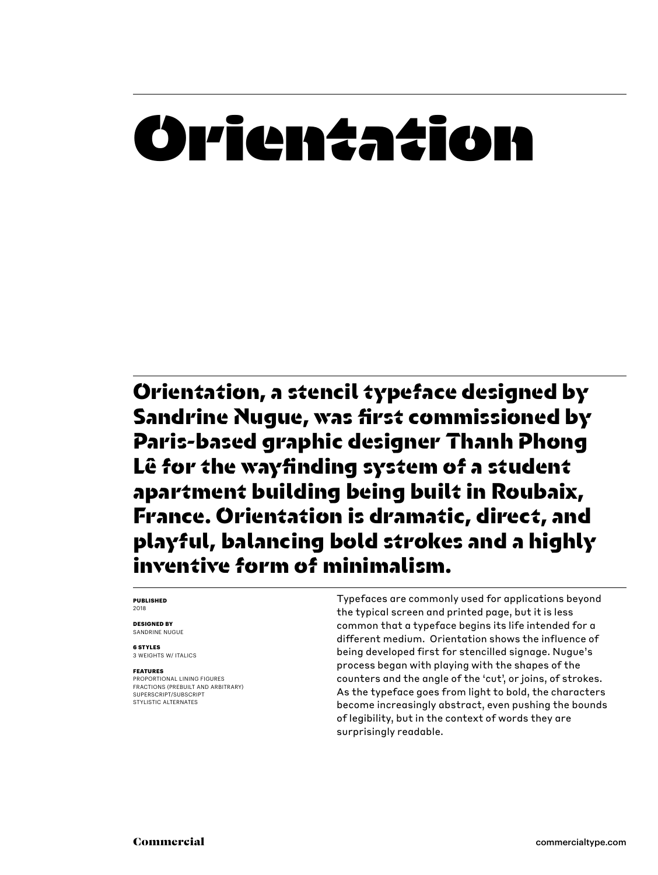## **Orientation**

Orientation, a stencil typeface designed by Sandrine Nugue, was first commissioned by Paris-based graphic designer Thanh Phong Lê for the wayfinding system of a student apartment building being built in Roubaix, France. Orientation is dramatic, direct, and playful, balancing bold strokes and a highly inventive form of minimalism.

### **PUBLISHED** 2018

**DESIGNED BY** SANDRINE NUGUE

**6 STYLES** 3 WEIGHTS W/ ITALICS

### **FEATURES**

PROPORTIONAL LINING FIGURES FRACTIONS (PREBUILT AND ARBITRARY) SUPERSCRIPT/SUBSCRIPT STYLISTIC ALTERNATES

Typefaces are commonly used for applications beyond the typical screen and printed page, but it is less common that a typeface begins its life intended for a different medium. Orientation shows the influence of being developed first for stencilled signage. Nugue's process began with playing with the shapes of the counters and the angle of the 'cut', or joins, of strokes. As the typeface goes from light to bold, the characters become increasingly abstract, even pushing the bounds of legibility, but in the context of words they are surprisingly readable.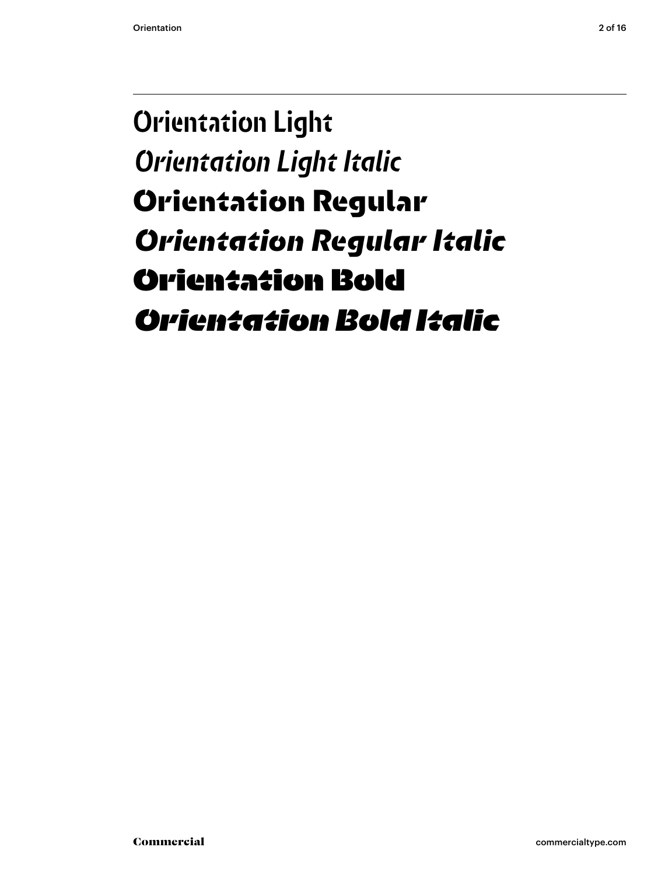### Orientation Light *Orientation Light Italic* Orientation Regular *Orientation Regular Italic* **Orientation Bold** *Orientation Bold Italic*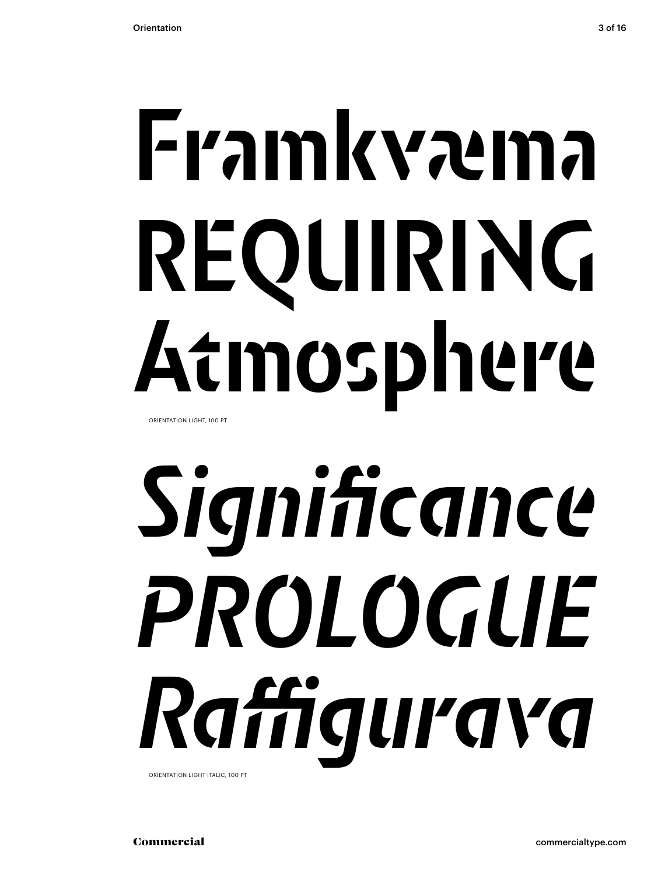# Framkvæma REQUIRING Atmosphere

ORIENTATION LIGHT, 100 PT

# *Significance PROLOGUE Raffigurava*

ORIENTATION LIGHT ITALIC, 100 PT

Commercial commercialtype.com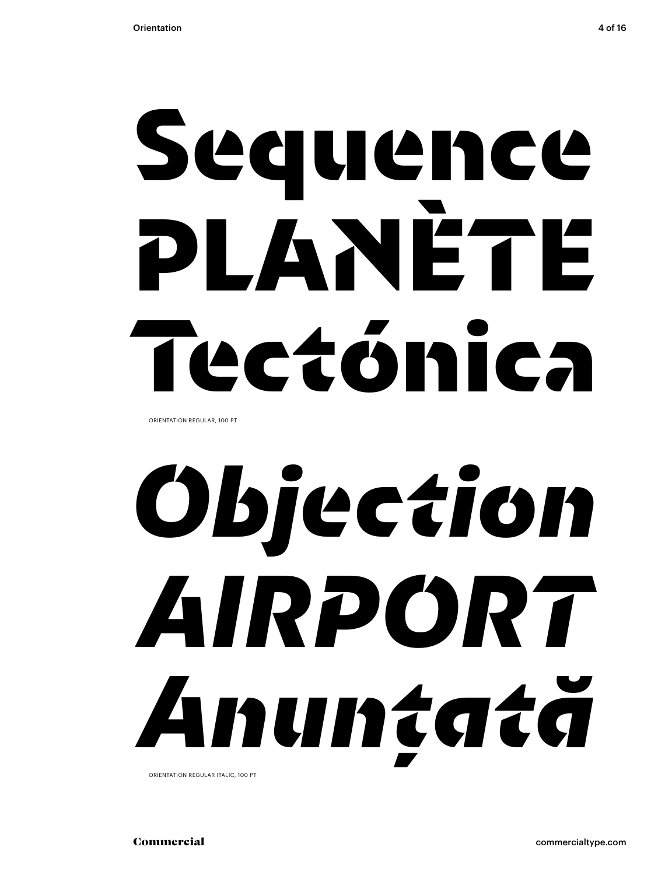# Sequence PLANÈTE Tectónica

ORIENTATION REGULAR, 100 PT

# *Objection AIRPORT Anunțată*

ORIENTATION REGULAR ITALIC, 100 PT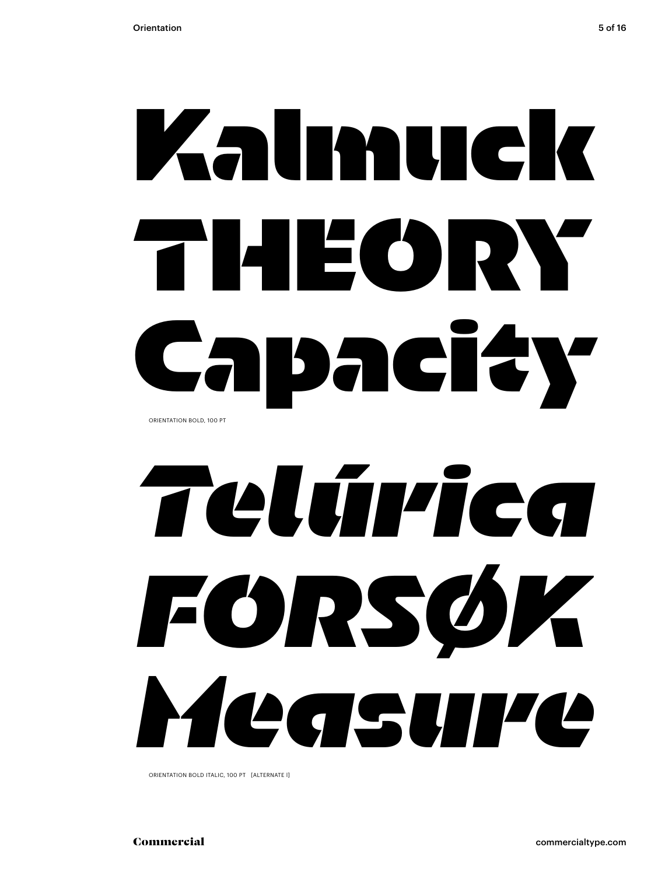# **Kalmuck THEORY Capacity** ORIENTATION BOLD, 100 PT

# *Telúrica FORSØK Measure*

ORIENTATION BOLD ITALIC, 100 PT [ALTERNATE l]

Commercial commercialtype.com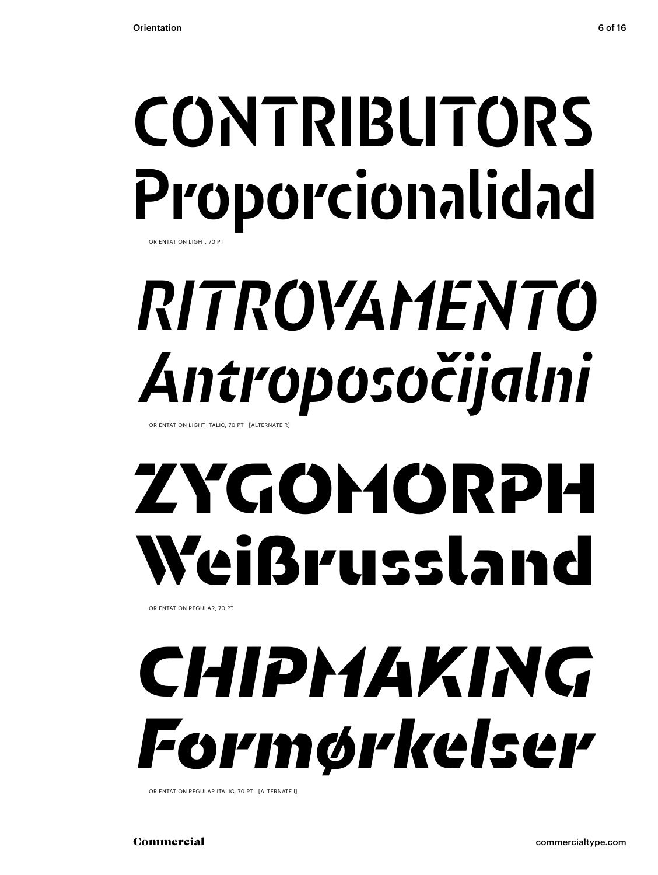## CONTRIBUTORS Proporcionalidad ORIENTATION LIGHT, 70 P

## *RITROVAMENTO Antroposočijalni*

ORIENTATION LIGHT ITALIC, 70 PT [ALTERNATE R]

## ZYGOMORPH Weißrussland

ORIENTATION REGULAR, 70 PT

## *CHIPMAKING Formørkelser*

ORIENTATION REGULAR ITALIC, 70 PT [ALTERNATE l]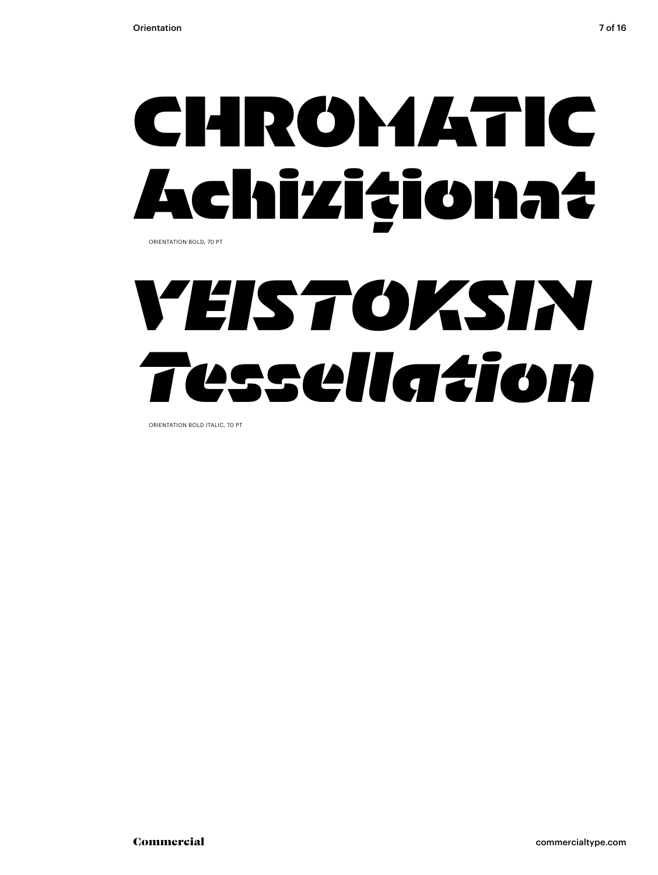## **CHROMATIC Achiziționat** ORIENTATION BOLD, 70 PT

## *VEISTOKSIN Tessellation*

ORIENTATION BOLD ITALIC, 70 PT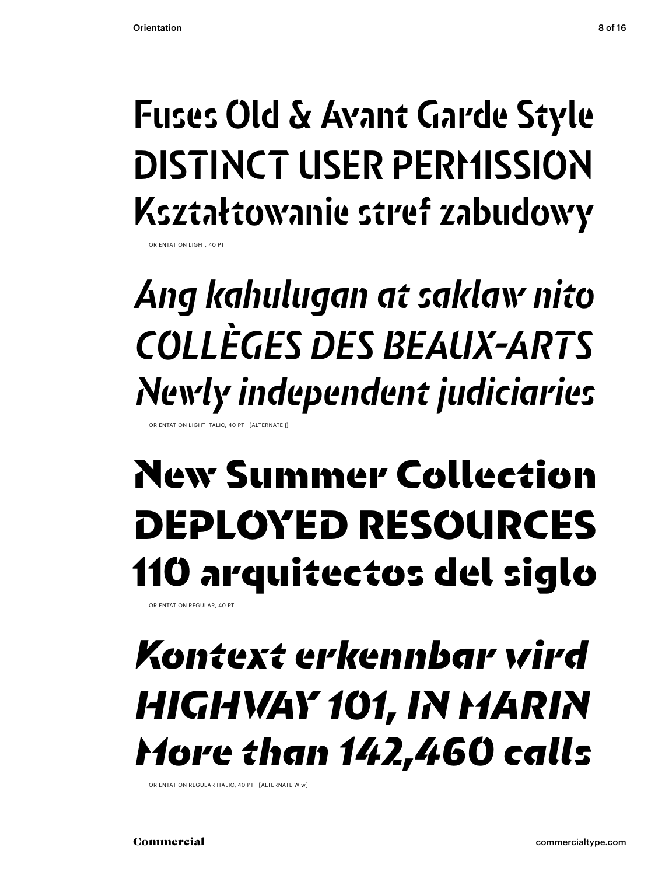## Fuses Old & Avant Garde Style DISTINCT USER PERMISSION Kształtowanie stref zabudowy

ORIENTATION LIGHT, 40 PT

## *Ang kahulugan at saklaw nito COLLÈGES DES BEAUX-ARTS Newly independent judiciaries*

ORIENTATION LIGHT ITALIC, 40 PT [ALTERNATE j]

## New Summer Collection DEPLOYED RESOURCES 110 arquitectos del siglo

ORIENTATION REGULAR, 40 PT

### *Kontext erkennbar wird HIGHWAY 101, IN MARIN More than 142,460 calls*

ORIENTATION REGULAR ITALIC, 40 PT [ALTERNATE W w]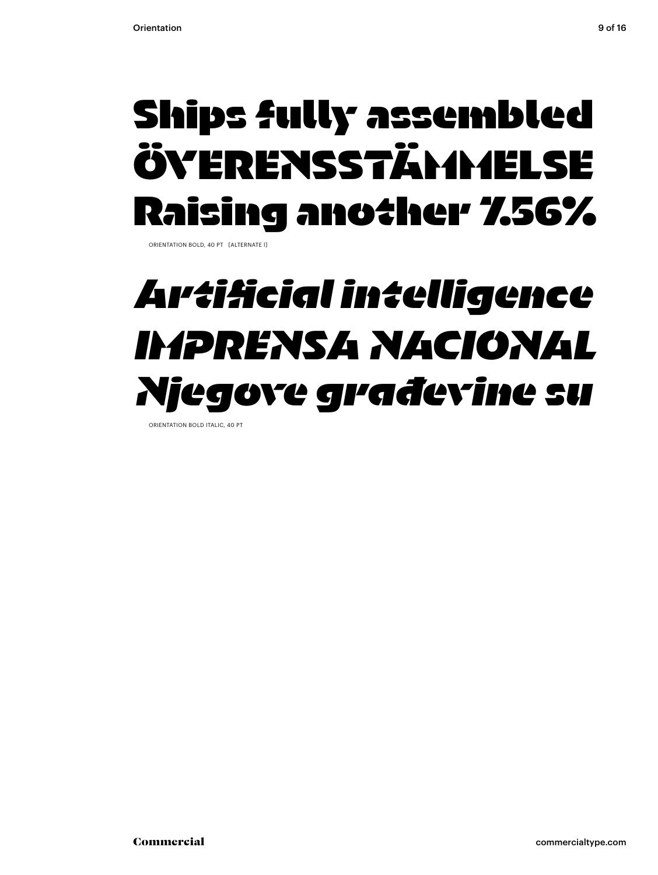### **Ships fully assembled ÖVERENSSTÄMMELSE Raising another 7.56%**

ORIENTATION BOLD, 40 PT [ALTERNATE l]

### *Artificial intelligence IMPRENSA NACIONAL Njegove građevine su*

ORIENTATION BOLD ITALIC, 40 PT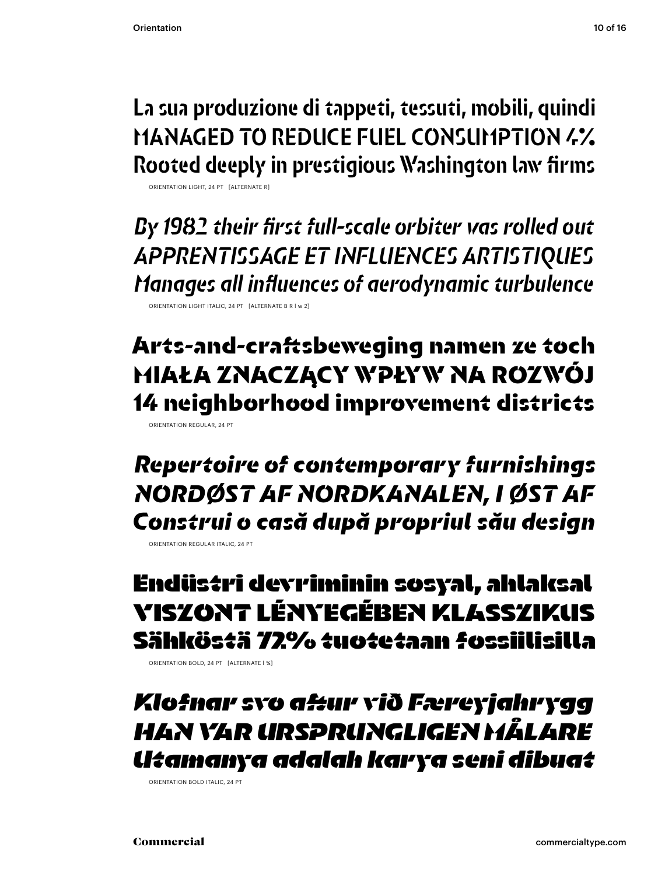La sua produzione di tappeti, tessuti, mobili, quindi MANAGED TO REDUCE FUEL CONSUMPTION 4% Rooted deeply in prestigious Washington law firms

ORIENTATION LIGHT, 24 PT [ALTERNATE R]

*By 1982 their first full-scale orbiter was rolled out APPRENTISSAGE ET INFLUENCES ARTISTIQUES Manages all influences of aerodynamic turbulence*

ORIENTATION LIGHT ITALIC, 24 PT [ALTERNATE B R l w 2]

Arts-and-craftsbeweging namen ze toch MIAŁA ZNACZĄCY WPŁYW NA ROZWÓJ 14 neighborhood improvement districts

ORIENTATION REGULAR, 24 PT

*Repertoire of contemporary furnishings NORDØST AF NORDKANALEN, I ØST AF Construi o casă după propriul său design*

ORIENTATION REGULAR ITALIC, 24 PT

**Endüstri devriminin sosyal, ahlaksal VISZONT LÉNYEGÉBEN KLASSZIKUS Sähköstä 72% tuotetaan fossiilisilla**

ORIENTATION BOLD, 24 PT [ALTERNATE l %]

*Klofnar svo aftur við Færeyjahrygg HAN VAR URSPRUNGLIGEN MÅLARE Utamanya adalah karya seni dibuat* 

ORIENTATION BOLD ITALIC, 24 PT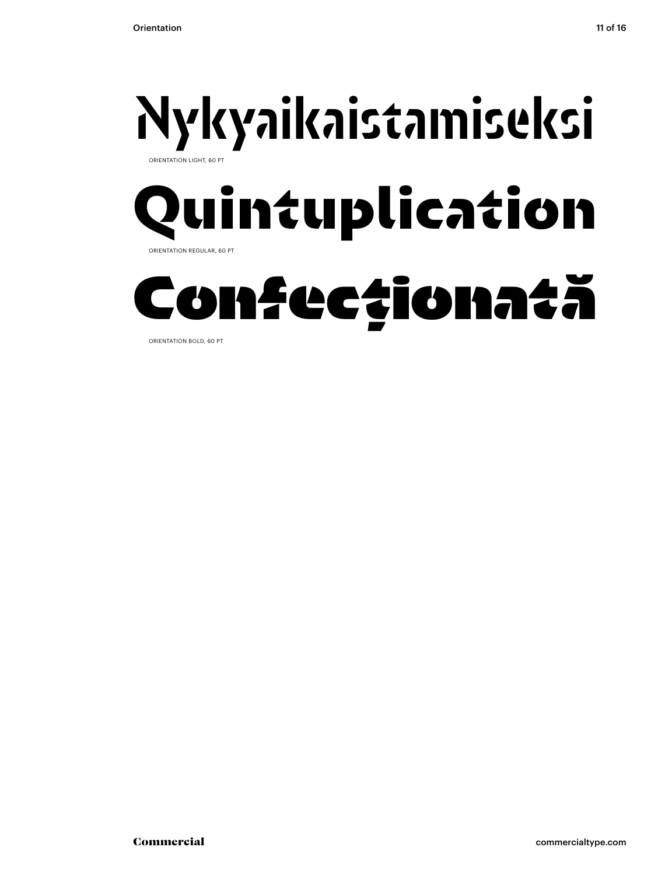

ORIENTATION BOLD, 60 PT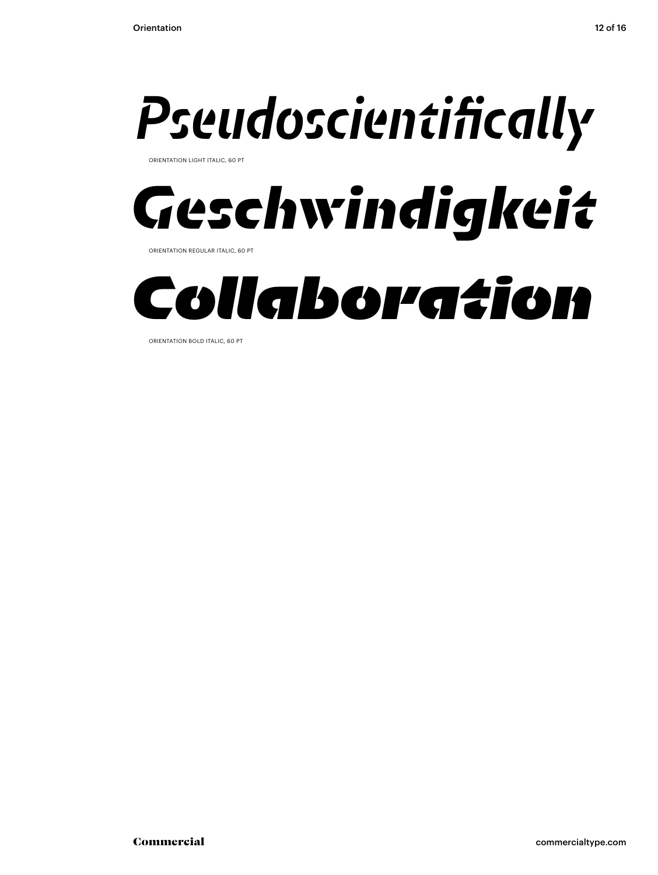

ORIENTATION LIGHT ITALIC, 60 PT



ORIENTATION REGULAR ITALIC, 60 PT



ORIENTATION BOLD ITALIC, 60 PT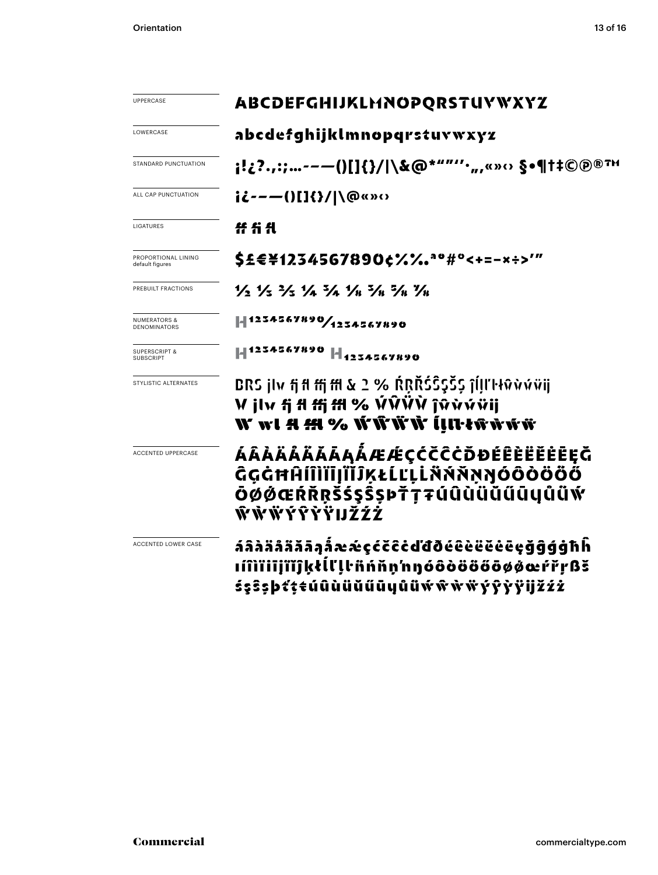| UPPERCASE                                      | ABCDEFGHIJKLHNOPQRSTUYWXYZ                                                                                                                                                                           |
|------------------------------------------------|------------------------------------------------------------------------------------------------------------------------------------------------------------------------------------------------------|
| LOWERCASE                                      | abcdefghijklmnopqrstuvwxyz                                                                                                                                                                           |
| STANDARD PUNCTUATION                           |                                                                                                                                                                                                      |
| ALL CAP PUNCTUATION                            | ii---()[]{}/ \@«»<>                                                                                                                                                                                  |
| LIGATURES                                      |                                                                                                                                                                                                      |
| PROPORTIONAL LINING<br>default figures         | \$£€¥1234567890¢%‰ <sup>ao#</sup> °<+=-×÷>'"                                                                                                                                                         |
| PREBUILT FRACTIONS                             | $\frac{1}{2}$ $\frac{1}{3}$ $\frac{1}{2}$ $\frac{1}{3}$ $\frac{1}{4}$ $\frac{1}{2}$ $\frac{1}{4}$ $\frac{1}{2}$ $\frac{1}{8}$ $\frac{1}{2}$ $\frac{1}{8}$ $\frac{1}{16}$ $\frac{1}{2}$ $\frac{1}{8}$ |
| <b>NUMERATORS &amp;</b><br><b>DENOMINATORS</b> | 1234567890/1234567890                                                                                                                                                                                |
| <b>SUPERSCRIPT &amp;</b><br><b>SUBSCRIPT</b>   | -  1234567890  -  <sub>1234567890</sub>                                                                                                                                                              |
| STYLISTIC ALTERNATES                           | BRS jlv fi fl ffi ffl & 2 % ŔŖŘŚŜŞŠŞ ĵĺḷľŀłŵẁŵŭji<br>V jlv fj fl ffj ffl % ÝŶŸŶ ĵŵẁýŸij<br>W wl A M % ŴŴŴ ĺļlŀŧŵŵŵ                                                                                   |
| <b>ACCENTED UPPERCASE</b>                      | ÁÂÀÄÅÄĂĂĀĄÅÆÆÇČČČŎĐÉÊÈËËĖĒĘĞ<br>ĜĢĠĦĤĺĨÌĬĨĮĨĬĴĶŁĹĽĻĹŇŇŇŊŎÔŎÖÖŐ<br>ŌØØŒŔŘRŠŚŞŜŞÞŤŢŦÚÛÙÜŬŰŪYŮŬŴ<br>ŴŴŴŶŶŶŸIJŽŹŻ                                                                                        |
| ACCENTED LOWER CASE                            | áâàääääāąåææçćčĉċďđðéêèëĕėēçğĝģģħĥ<br>ıíîìïiijïĭĵķłĺľļŀñńňn'nŋóôòööőōøøœŕřŗßš<br>śşŝşþť¢ŧúûùüŭűūyůüẃŵŵŸýŷỳÿijžźż                                                                                     |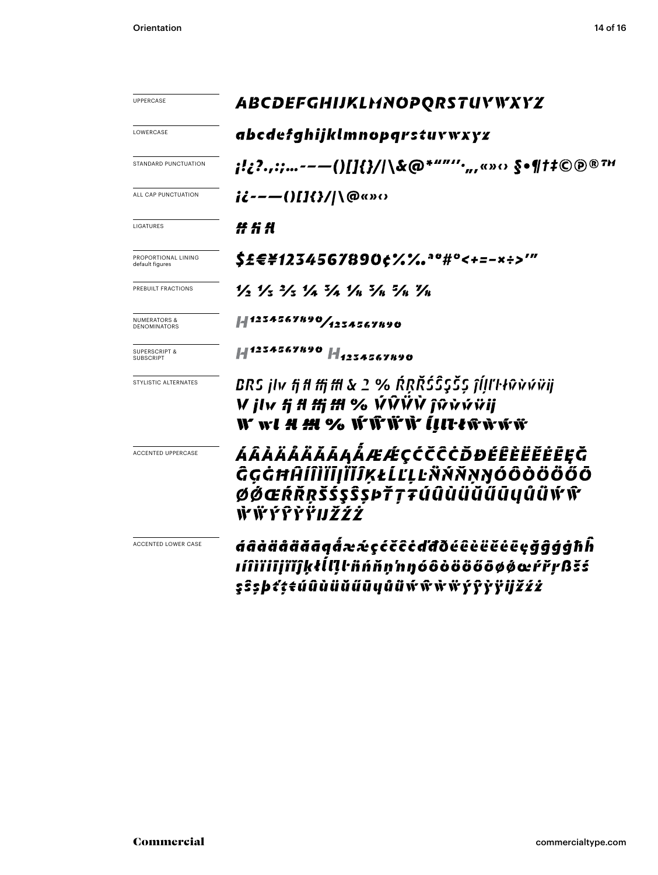| UPPERCASE                                    | ABCDEFGHIJKLMNOPQRSTUYWXYZ                                                                                                                                                                                                                                                                                          |
|----------------------------------------------|---------------------------------------------------------------------------------------------------------------------------------------------------------------------------------------------------------------------------------------------------------------------------------------------------------------------|
| LOWERCASE                                    | abcdefghijklmnopqrstuvwxyz                                                                                                                                                                                                                                                                                          |
| STANDARD PUNCTUATION                         | ;!¿?.,:;--—()[]{}/ \&@*""''·",«»‹› §•¶†‡©@®™                                                                                                                                                                                                                                                                        |
| ALL CAP PUNCTUATION                          | ii---()[]{}/ \@«»‹›                                                                                                                                                                                                                                                                                                 |
| LIGATURES                                    | ###                                                                                                                                                                                                                                                                                                                 |
| PROPORTIONAL LINING<br>default figures       | \$£€¥1234567890¢%%.ªº#°<+=-×÷>′″                                                                                                                                                                                                                                                                                    |
| PREBUILT FRACTIONS                           | $\frac{1}{2}$ $\frac{1}{2}$ $\frac{1}{2}$ $\frac{1}{2}$ $\frac{1}{2}$ $\frac{1}{2}$ $\frac{1}{4}$ $\frac{1}{2}$ $\frac{1}{4}$ $\frac{1}{2}$ $\frac{1}{4}$ $\frac{1}{4}$ $\frac{1}{4}$ $\frac{1}{4}$ $\frac{1}{4}$ $\frac{1}{4}$ $\frac{1}{4}$ $\frac{1}{4}$ $\frac{1}{4}$ $\frac{1}{4}$ $\frac{1}{4}$ $\frac{1}{4}$ |
| NUMERATORS &<br><b>DENOMINATORS</b>          | 41234567890/1234567890                                                                                                                                                                                                                                                                                              |
| <b>SUPERSCRIPT &amp;</b><br><b>SUBSCRIPT</b> | 1234567890   1 <sub>123456</sub> 7890                                                                                                                                                                                                                                                                               |
| STYLISTIC ALTERNATES                         | BRS jlv fj fl ffj ffl & 2 % ŔŖŘŚŜŞŠŞ ĵĺļľŀłŵvúŭij<br>V jlv fj fl ffj ffl % ÝŴŸŇ ĵŵẁŵïji<br>W w <i>l A M %</i> W W W V <i>[III·tw</i> w w w                                                                                                                                                                          |
| <b>ACCENTED UPPERCASE</b>                    | ÁÂÀÄÅÄĂĂĀĄÅÆÆÇČČČŎĐÉÊÈËËĖĒĘĞ<br>ĜĢĠĦĤĺĨÌĬĨĮĨĬĴĶŁĹĽĻĿÑŃŇŅŊÓÔŎÖŐŐŐ<br>ØØŒŔŘŖŠŚŞŜŞÞŤŢŦŰÛÙÜŬŰŪŲŮŮŴŴ<br><u>ŴŴŶŶŶŸIJŽŹŻ</u>                                                                                                                                                                                               |
| ACCENTED LOWER CASE                          | áâàäåããāąå̂ææçćčĉċďđðéêèëëēçğĝģģħĥ<br>ıíîìïiijïĭĵķłĺlļŀñńňṇ'nŋóôòööőōøøœŕřŗßšś<br>şŝşþť¢ŧúûùüŭűūyůüẃŵŵwyŷỳÿijžźż                                                                                                                                                                                                    |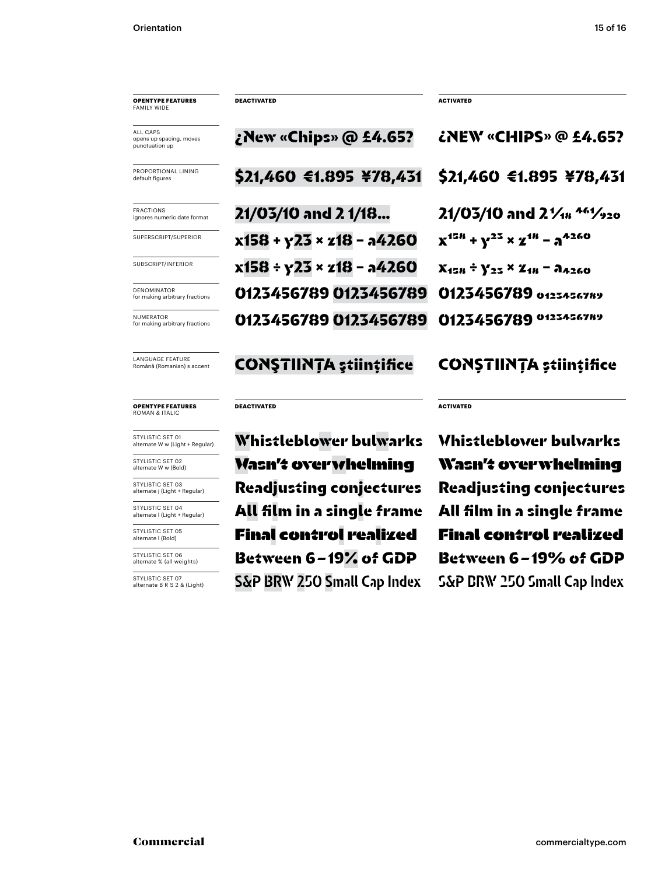### **OPENTYPE FEATURES** FAMILY WID

ALL CAPS opens up spacing, moves punctuation up

PROPORTIONAL LINING default figures

FRACTIONS ignores numeric date format

SUPERSCRIPT/SUPERIOR

SUBSCRIPT/INFERIOR

DENOMINATOR for making arbitrary fractions

NUMERATOR for making arbitrary fractions

LANGUAGE FEATURE Română (Romanian) s accent

**OPENTYPE FEATURES** ROMAN & ITALIC

STYLISTIC SET 01 alternate W w (Light + Regular)

STYLISTIC SET 02 alternate W w (Bold)

STYLISTIC SET 03 alternate j (Light + Regular)

STYLISTIC SET 04 alternate l (Light + Regular)

STYLISTIC SET 05 alternate l (Bold)

STYLISTIC SET 06 alternate % (all weights)

STYLISTIC SET 07 alternate B R S 2 & (Light) \$21,460 €1.895 ¥78,431 \$21,460 €1.895 ¥78,431 21/03/10 and 2 1/18… 21/03/10 and 21/18 461/920  $x158 + y23 \times z18 - a4260$   $x^{158} + y^{23} \times z^{18} - a^{4260}$  $x158 \div y23 \times z18 - a4260$   $x_{158} \div y_{25} \times z_{18} - a_{4260}$ 0123456789 0123456789 0123456789 0123456789 0123456789 0123456789 0123456789 0123456789

### CONSTIINTA stiintifice CONSTIINTA stiintifice

### **DEACTIVATED**

Readjusting conjectures Readjusting conjectures All film in a single frame All film in a single frame **Final control realized Final control realized** Between 6 – 19% of GDP Between 6 – 19% of GDP S&P BRW 250 Small Cap Index S&P BRW 250 Small Cap Index **Wasn't overwhelming**

Whistleblower bulwarks Whistleblower bulwarks **Wasn't overwhelming**

¿New «Chips» @ £4.65? ¿NEW «CHIPS» @ £4.65?

**DEACTIVATED ACTIVATED**

**ACTIVATED**